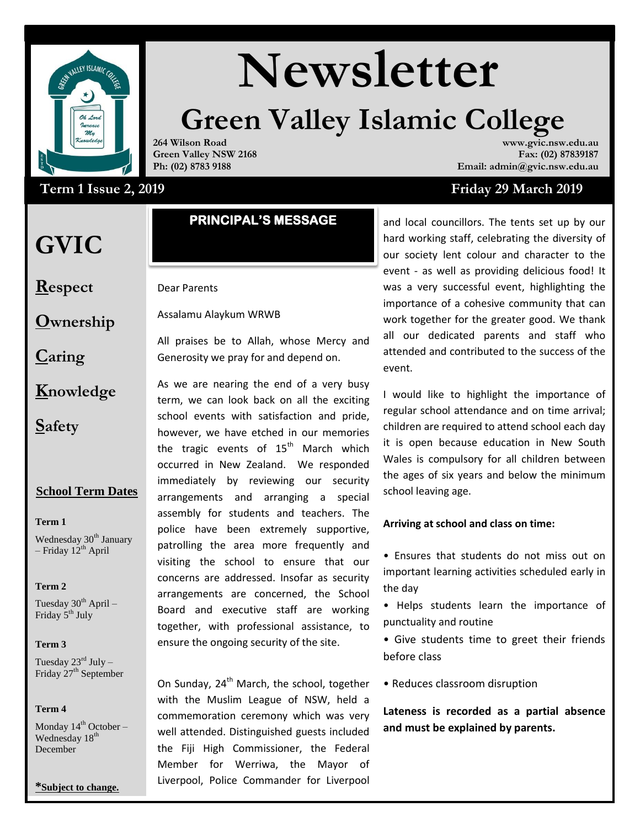

# **Newsletter**

# **Green Valley Islamic College**

**264 Wilson Road Green Valley NSW 2168 Ph: (02) 8783 9188**

# Term 1 Issue 2, 2019

# **GVIC**

**Respect**

**Ownership**

**Caring**

- **Knowledge**
- **Safety**

# **School Term Dates**

#### **Term 1**

Wednesday 30<sup>th</sup> January – Friday  $12^{th}$  April

#### **Term 2**

Tuesday  $30^{th}$  April – Friday 5<sup>th</sup> July

#### **Term 3**

Tuesday  $23^{\text{rd}}$  July – Friday 27<sup>th</sup> September

#### **Term 4**

Monday  $14^{th}$  October – Wednesday 18<sup>th</sup> December

#### **\*Subject to change.**

# **PRINCIPAL'S MESSAGE**

# Dear Parents

Assalamu Alaykum WRWB

All praises be to Allah, whose Mercy and Generosity we pray for and depend on.

As we are nearing the end of a very busy term, we can look back on all the exciting school events with satisfaction and pride, however, we have etched in our memories the tragic events of  $15<sup>th</sup>$  March which occurred in New Zealand. We responded immediately by reviewing our security arrangements and arranging a special assembly for students and teachers. The police have been extremely supportive, patrolling the area more frequently and visiting the school to ensure that our concerns are addressed. Insofar as security arrangements are concerned, the School Board and executive staff are working together, with professional assistance, to ensure the ongoing security of the site.

On Sunday,  $24<sup>th</sup>$  March, the school, together with the Muslim League of NSW, held a commemoration ceremony which was very well attended. Distinguished guests included the Fiji High Commissioner, the Federal Member for Werriwa, the Mayor of Liverpool, Police Commander for Liverpool

#### **www.gvic.nsw.edu.au Fax: (02) 87839187 Email: admin@gvic.nsw.edu.au**

# **Term 1 Issue 2, 2019 Friday 29 March 2019**

and local councillors. The tents set up by our hard working staff, celebrating the diversity of our society lent colour and character to the event - as well as providing delicious food! It was a very successful event, highlighting the importance of a cohesive community that can work together for the greater good. We thank all our dedicated parents and staff who attended and contributed to the success of the event.

I would like to highlight the importance of regular school attendance and on time arrival; children are required to attend school each day it is open because education in New South Wales is compulsory for all children between the ages of six years and below the minimum school leaving age.

#### **Arriving at school and class on time:**

• Ensures that students do not miss out on important learning activities scheduled early in the day

• Helps students learn the importance of punctuality and routine

**SECONDARY** • Give students time to greet their friends before class

• Reduces classroom disruption

**Lateness is recorded as a partial absence and must be explained by parents.**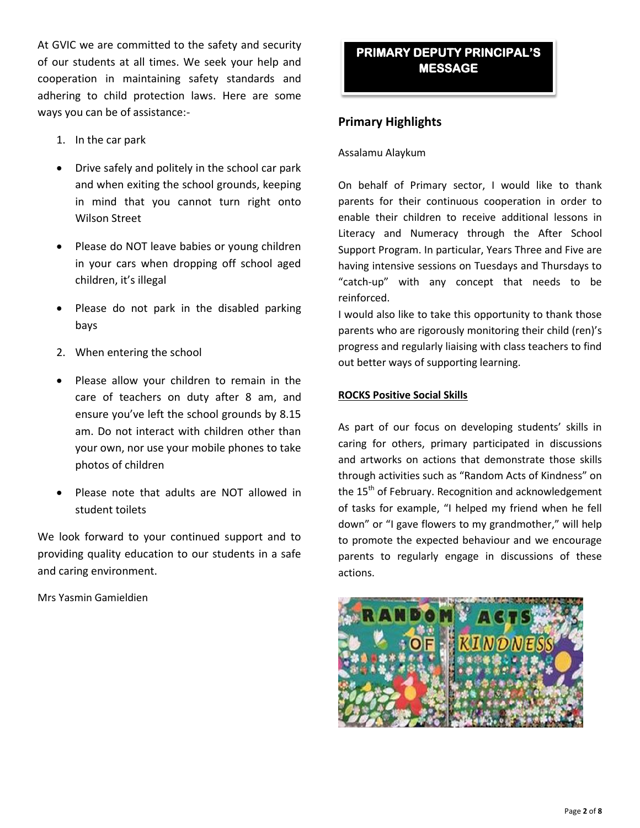At GVIC we are committed to the safety and security of our students at all times. We seek your help and cooperation in maintaining safety standards and adhering to child protection laws. Here are some ways you can be of assistance:-

- 1. In the car park
- Drive safely and politely in the school car park and when exiting the school grounds, keeping in mind that you cannot turn right onto Wilson Street
- Please do NOT leave babies or young children in your cars when dropping off school aged children, it's illegal
- Please do not park in the disabled parking bays
- 2. When entering the school
- Please allow your children to remain in the care of teachers on duty after 8 am, and ensure you've left the school grounds by 8.15 am. Do not interact with children other than your own, nor use your mobile phones to take photos of children
- Please note that adults are NOT allowed in student toilets

We look forward to your continued support and to providing quality education to our students in a safe and caring environment.

Mrs Yasmin Gamieldien

# **PRIMARY DEPUTY PRINCIPAL'S MESSAGE**

# **Primary Highlights**

#### Assalamu Alaykum

On behalf of Primary sector, I would like to thank parents for their continuous cooperation in order to enable their children to receive additional lessons in Literacy and Numeracy through the After School Support Program. In particular, Years Three and Five are having intensive sessions on Tuesdays and Thursdays to "catch-up" with any concept that needs to be reinforced.

I would also like to take this opportunity to thank those parents who are rigorously monitoring their child (ren)'s progress and regularly liaising with class teachers to find out better ways of supporting learning.

#### **ROCKS Positive Social Skills**

As part of our focus on developing students' skills in caring for others, primary participated in discussions and artworks on actions that demonstrate those skills through activities such as "Random Acts of Kindness" on the 15<sup>th</sup> of February. Recognition and acknowledgement of tasks for example, "I helped my friend when he fell down" or "I gave flowers to my grandmother," will help to promote the expected behaviour and we encourage parents to regularly engage in discussions of these actions.

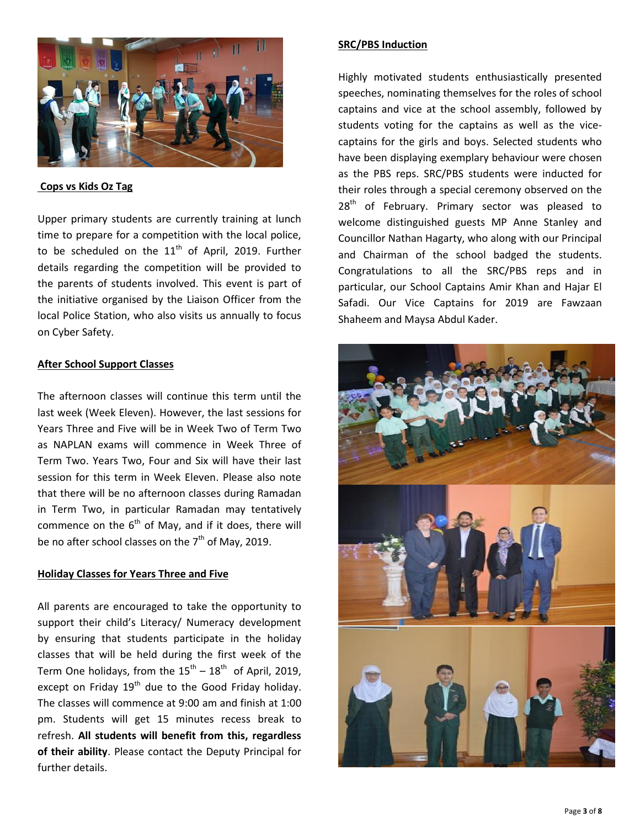

#### **Cops vs Kids Oz Tag**

Upper primary students are currently training at lunch time to prepare for a competition with the local police, to be scheduled on the  $11<sup>th</sup>$  of April, 2019. Further details regarding the competition will be provided to the parents of students involved. This event is part of the initiative organised by the Liaison Officer from the local Police Station, who also visits us annually to focus on Cyber Safety.

#### **After School Support Classes**

The afternoon classes will continue this term until the last week (Week Eleven). However, the last sessions for Years Three and Five will be in Week Two of Term Two as NAPLAN exams will commence in Week Three of Term Two. Years Two, Four and Six will have their last session for this term in Week Eleven. Please also note that there will be no afternoon classes during Ramadan in Term Two, in particular Ramadan may tentatively commence on the  $6<sup>th</sup>$  of May, and if it does, there will be no after school classes on the  $7<sup>th</sup>$  of May, 2019.

#### **Holiday Classes for Years Three and Five**

All parents are encouraged to take the opportunity to support their child's Literacy/ Numeracy development by ensuring that students participate in the holiday classes that will be held during the first week of the Term One holidays, from the  $15^{th}$  –  $18^{th}$  of April, 2019, except on Friday  $19<sup>th</sup>$  due to the Good Friday holiday. The classes will commence at 9:00 am and finish at 1:00 pm. Students will get 15 minutes recess break to refresh. **All students will benefit from this, regardless of their ability**. Please contact the Deputy Principal for further details.

#### **SRC/PBS Induction**

Highly motivated students enthusiastically presented speeches, nominating themselves for the roles of school captains and vice at the school assembly, followed by students voting for the captains as well as the vicecaptains for the girls and boys. Selected students who have been displaying exemplary behaviour were chosen as the PBS reps. SRC/PBS students were inducted for their roles through a special ceremony observed on the  $28<sup>th</sup>$  of February. Primary sector was pleased to welcome distinguished guests MP Anne Stanley and Councillor Nathan Hagarty, who along with our Principal and Chairman of the school badged the students. Congratulations to all the SRC/PBS reps and in particular, our School Captains Amir Khan and Hajar El Safadi. Our Vice Captains for 2019 are Fawzaan Shaheem and Maysa Abdul Kader.

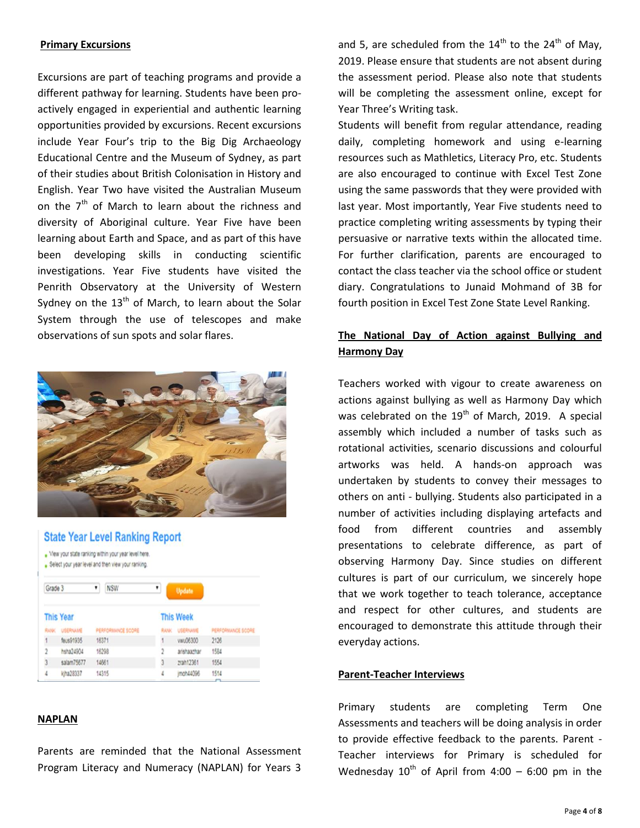#### **Primary Excursions**

Excursions are part of teaching programs and provide a different pathway for learning. Students have been proactively engaged in experiential and authentic learning opportunities provided by excursions. Recent excursions include Year Four's trip to the Big Dig Archaeology Educational Centre and the Museum of Sydney, as part of their studies about British Colonisation in History and English. Year Two have visited the Australian Museum on the  $7<sup>th</sup>$  of March to learn about the richness and diversity of Aboriginal culture. Year Five have been learning about Earth and Space, and as part of this have been developing skills in conducting scientific investigations. Year Five students have visited the Penrith Observatory at the University of Western Sydney on the  $13<sup>th</sup>$  of March, to learn about the Solar System through the use of telescopes and make observations of sun spots and solar flares.



#### **State Year Level Ranking Report**

- . View your state ranking within your year level here.
- . Select your year level and then view your ranking.

| Grade 3          |                 | <b>NSW</b><br>٠   | ٠                | Update          |                   |
|------------------|-----------------|-------------------|------------------|-----------------|-------------------|
| <b>This Year</b> |                 |                   | <b>This Week</b> |                 |                   |
| <b>RANK</b>      | <b>USERNAME</b> | PERFORMANCE SCORE | RANK             | <b>USERNAME</b> | PERFORMANCE SCORE |
| 1                | feus91935       | 16371             | 1                | vwu06300        | 2126              |
| $\ddot{2}$       | hsha24904       | 16298             | $\hat{z}$        | arishaazhar     | 1584              |
| 3                | salam75677      | 14561             | 3                | zrah12361       | 1554              |
| 4                | kiha28337       | 14315             | 4                | moh44096        | 1514              |

#### **NAPLAN**

Parents are reminded that the National Assessment Program Literacy and Numeracy (NAPLAN) for Years 3

and 5, are scheduled from the  $14<sup>th</sup>$  to the  $24<sup>th</sup>$  of May, 2019. Please ensure that students are not absent during the assessment period. Please also note that students will be completing the assessment online, except for Year Three's Writing task.

Students will benefit from regular attendance, reading daily, completing homework and using e-learning resources such as Mathletics, Literacy Pro, etc. Students are also encouraged to continue with Excel Test Zone using the same passwords that they were provided with last year. Most importantly, Year Five students need to practice completing writing assessments by typing their persuasive or narrative texts within the allocated time. For further clarification, parents are encouraged to contact the class teacher via the school office or student diary. Congratulations to Junaid Mohmand of 3B for fourth position in Excel Test Zone State Level Ranking.

# **The National Day of Action against Bullying and Harmony Day**

Teachers worked with vigour to create awareness on actions against bullying as well as Harmony Day which was celebrated on the  $19<sup>th</sup>$  of March, 2019. A special assembly which included a number of tasks such as rotational activities, scenario discussions and colourful artworks was held. A hands-on approach was undertaken by students to convey their messages to others on anti - bullying. Students also participated in a number of activities including displaying artefacts and food from different countries and assembly presentations to celebrate difference, as part of observing Harmony Day. Since studies on different cultures is part of our curriculum, we sincerely hope that we work together to teach tolerance, acceptance and respect for other cultures, and students are encouraged to demonstrate this attitude through their everyday actions.

#### **Parent-Teacher Interviews**

Primary students are completing Term One Assessments and teachers will be doing analysis in order to provide effective feedback to the parents. Parent - Teacher interviews for Primary is scheduled for Wednesday  $10^{th}$  of April from 4:00 – 6:00 pm in the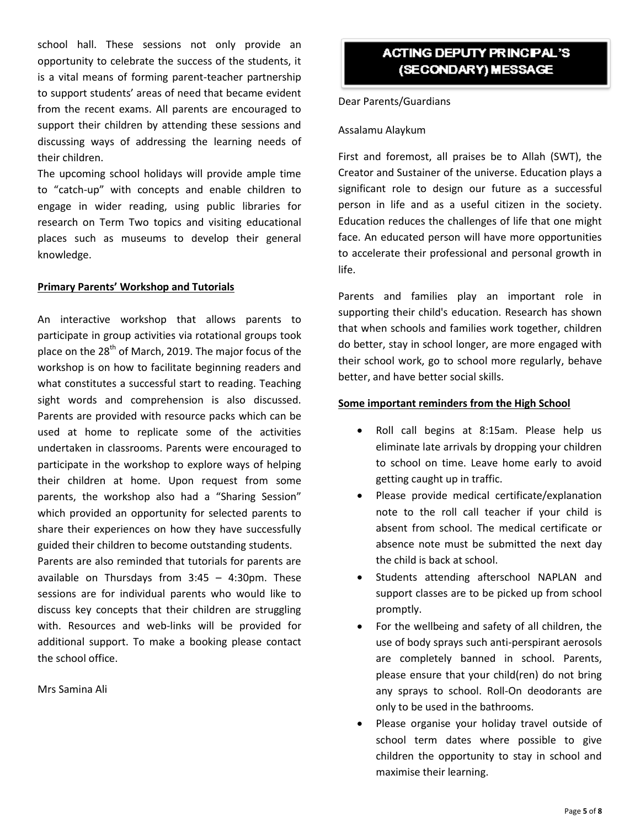school hall. These sessions not only provide an opportunity to celebrate the success of the students, it is a vital means of forming parent-teacher partnership to support students' areas of need that became evident from the recent exams. All parents are encouraged to support their children by attending these sessions and discussing ways of addressing the learning needs of their children.

The upcoming school holidays will provide ample time to "catch-up" with concepts and enable children to engage in wider reading, using public libraries for research on Term Two topics and visiting educational places such as museums to develop their general knowledge.

#### **Primary Parents' Workshop and Tutorials**

An interactive workshop that allows parents to participate in group activities via rotational groups took place on the 28<sup>th</sup> of March, 2019. The major focus of the workshop is on how to facilitate beginning readers and what constitutes a successful start to reading. Teaching sight words and comprehension is also discussed. Parents are provided with resource packs which can be used at home to replicate some of the activities undertaken in classrooms. Parents were encouraged to participate in the workshop to explore ways of helping their children at home. Upon request from some parents, the workshop also had a "Sharing Session" which provided an opportunity for selected parents to share their experiences on how they have successfully guided their children to become outstanding students.

Parents are also reminded that tutorials for parents are available on Thursdays from 3:45 – 4:30pm. These sessions are for individual parents who would like to discuss key concepts that their children are struggling with. Resources and web-links will be provided for additional support. To make a booking please contact the school office.

Mrs Samina Ali

# **ACTING DEPUTY PRINCIPAL'S** (SECONDARY) MESSAGE

Dear Parents/Guardians

#### Assalamu Alaykum

First and foremost, all praises be to Allah (SWT), the Creator and Sustainer of the universe. Education plays a significant role to design our future as a successful person in life and as a useful citizen in the society. Education reduces the challenges of life that one might face. An educated person will have more opportunities to accelerate their professional and personal growth in life.

Parents and families play an important role in supporting their child's education. Research has shown that when schools and families work together, children do better, stay in school longer, are more engaged with their school work, go to school more regularly, behave better, and have better social skills.

#### **Some important reminders from the High School**

- Roll call begins at 8:15am. Please help us eliminate late arrivals by dropping your children to school on time. Leave home early to avoid getting caught up in traffic.
- Please provide medical certificate/explanation note to the roll call teacher if your child is absent from school. The medical certificate or absence note must be submitted the next day the child is back at school.
- Students attending afterschool NAPLAN and support classes are to be picked up from school promptly.
- For the wellbeing and safety of all children, the use of body sprays such anti-perspirant aerosols are completely banned in school. Parents, please ensure that your child(ren) do not bring any sprays to school. Roll-On deodorants are only to be used in the bathrooms.
- Please organise your holiday travel outside of school term dates where possible to give children the opportunity to stay in school and maximise their learning.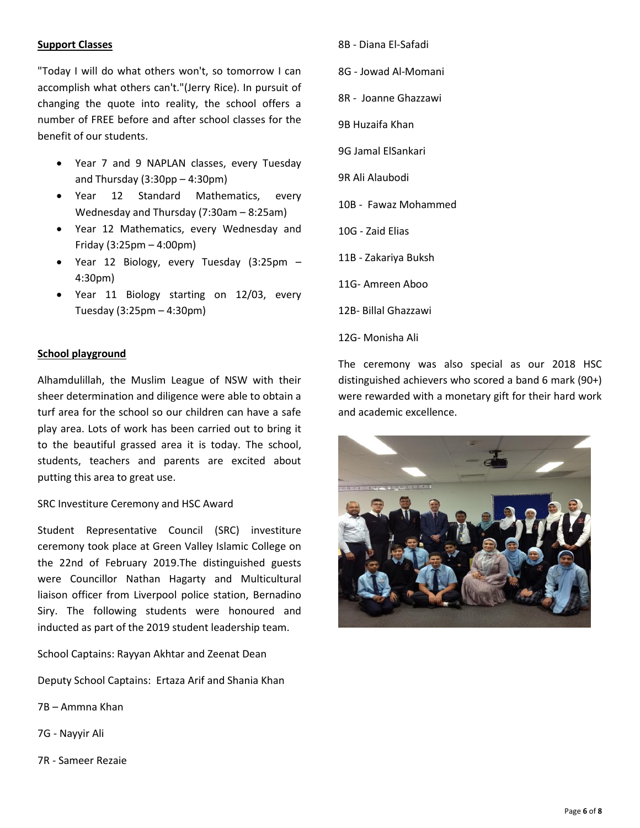#### **Support Classes**

"Today I will do what others won't, so tomorrow I can accomplish what others can't."(Jerry Rice). In pursuit of changing the quote into reality, the school offers a number of FREE before and after school classes for the benefit of our students.

- Year 7 and 9 NAPLAN classes, every Tuesday and Thursday (3:30pp – 4:30pm)
- Year 12 Standard Mathematics, every Wednesday and Thursday (7:30am – 8:25am)
- Year 12 Mathematics, every Wednesday and Friday (3:25pm – 4:00pm)
- Year 12 Biology, every Tuesday (3:25pm 4:30pm)
- Year 11 Biology starting on 12/03, every Tuesday (3:25pm – 4:30pm)

#### **School playground**

Alhamdulillah, the Muslim League of NSW with their sheer determination and diligence were able to obtain a turf area for the school so our children can have a safe play area. Lots of work has been carried out to bring it to the beautiful grassed area it is today. The school, students, teachers and parents are excited about putting this area to great use.

#### SRC Investiture Ceremony and HSC Award

Student Representative Council (SRC) investiture ceremony took place at Green Valley Islamic College on the 22nd of February 2019.The distinguished guests were Councillor Nathan Hagarty and Multicultural liaison officer from Liverpool police station, Bernadino Siry. The following students were honoured and inducted as part of the 2019 student leadership team.

School Captains: Rayyan Akhtar and Zeenat Dean

Deputy School Captains: Ertaza Arif and Shania Khan

- 7B Ammna Khan
- 7G Nayyir Ali
- 7R Sameer Rezaie
- 8B Diana El-Safadi
- 8G Jowad Al-Momani
- 8R Joanne Ghazzawi
- 9B Huzaifa Khan
- 9G Jamal ElSankari
- 9R Ali Alaubodi
- 10B Fawaz Mohammed
- 10G Zaid Elias
- 11B Zakariya Buksh
- 11G- Amreen Aboo
- 12B- Billal Ghazzawi
- 12G- Monisha Ali

The ceremony was also special as our 2018 HSC distinguished achievers who scored a band 6 mark (90+) were rewarded with a monetary gift for their hard work and academic excellence.

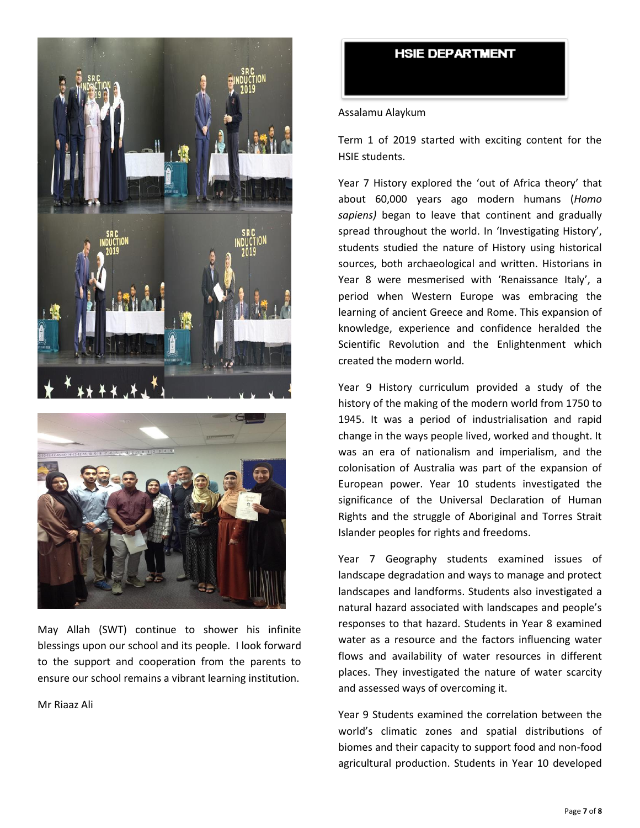



May Allah (SWT) continue to shower his infinite blessings upon our school and its people. I look forward to the support and cooperation from the parents to ensure our school remains a vibrant learning institution.

Mr Riaaz Ali

### **HSIE DEPARTMENT**

#### Assalamu Alaykum

Term 1 of 2019 started with exciting content for the HSIE students.

Year 7 History explored the 'out of Africa theory' that about 60,000 years ago modern humans (*Homo sapiens)* began to leave that continent and gradually spread throughout the world. In 'Investigating History', students studied the nature of History using historical sources, both archaeological and written. Historians in Year 8 were mesmerised with 'Renaissance Italy', a period when Western Europe was embracing the learning of ancient Greece and Rome. This expansion of knowledge, experience and confidence heralded the Scientific Revolution and the Enlightenment which created the modern world.

Year 9 History curriculum provided a study of the history of the making of the modern world from 1750 to 1945. It was a period of industrialisation and rapid change in the ways people lived, worked and thought. It was an era of nationalism and imperialism, and the colonisation of Australia was part of the expansion of European power. Year 10 students investigated the significance of the Universal Declaration of Human Rights and the struggle of Aboriginal and Torres Strait Islander peoples for rights and freedoms.

Year 7 Geography students examined issues of landscape degradation and ways to manage and protect landscapes and landforms. Students also investigated a natural hazard associated with landscapes and people's responses to that hazard. Students in Year 8 examined water as a resource and the factors influencing water flows and availability of water resources in different places. They investigated the nature of water scarcity and assessed ways of overcoming it.

Year 9 Students examined the correlation between the world's climatic zones and spatial distributions of biomes and their capacity to support food and non-food agricultural production. Students in Year 10 developed